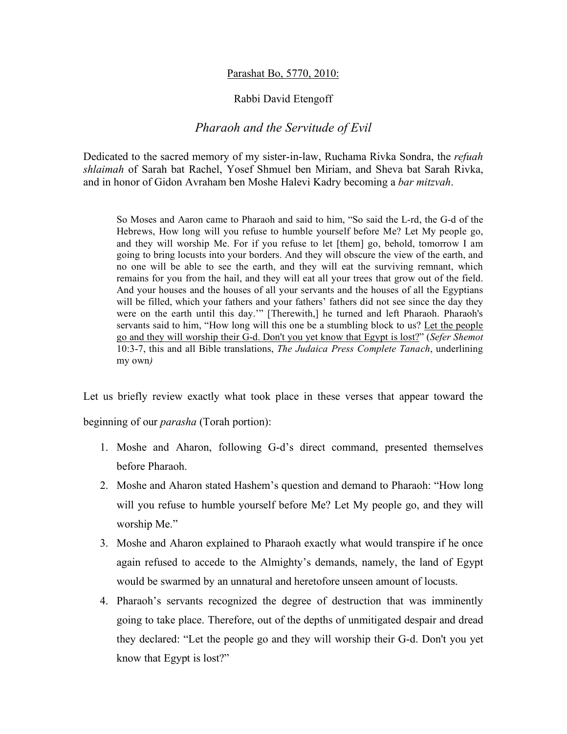## Parashat Bo, 5770, 2010:

## Rabbi David Etengoff

## *Pharaoh and the Servitude of Evil*

Dedicated to the sacred memory of my sister-in-law, Ruchama Rivka Sondra, the *refuah shlaimah* of Sarah bat Rachel, Yosef Shmuel ben Miriam, and Sheva bat Sarah Rivka, and in honor of Gidon Avraham ben Moshe Halevi Kadry becoming a *bar mitzvah*.

So Moses and Aaron came to Pharaoh and said to him, "So said the L-rd, the G-d of the Hebrews, How long will you refuse to humble yourself before Me? Let My people go, and they will worship Me. For if you refuse to let [them] go, behold, tomorrow I am going to bring locusts into your borders. And they will obscure the view of the earth, and no one will be able to see the earth, and they will eat the surviving remnant, which remains for you from the hail, and they will eat all your trees that grow out of the field. And your houses and the houses of all your servants and the houses of all the Egyptians will be filled, which your fathers and your fathers' fathers did not see since the day they were on the earth until this day.'" [Therewith,] he turned and left Pharaoh. Pharaoh's servants said to him, "How long will this one be a stumbling block to us? Let the people go and they will worship their G-d. Don't you yet know that Egypt is lost?" (*Sefer Shemot* 10:3-7, this and all Bible translations, *The Judaica Press Complete Tanach*, underlining my own*)*

Let us briefly review exactly what took place in these verses that appear toward the

beginning of our *parasha* (Torah portion):

- 1. Moshe and Aharon, following G-d's direct command, presented themselves before Pharaoh.
- 2. Moshe and Aharon stated Hashem's question and demand to Pharaoh: "How long will you refuse to humble yourself before Me? Let My people go, and they will worship Me."
- 3. Moshe and Aharon explained to Pharaoh exactly what would transpire if he once again refused to accede to the Almighty's demands, namely, the land of Egypt would be swarmed by an unnatural and heretofore unseen amount of locusts.
- 4. Pharaoh's servants recognized the degree of destruction that was imminently going to take place. Therefore, out of the depths of unmitigated despair and dread they declared: "Let the people go and they will worship their G-d. Don't you yet know that Egypt is lost?"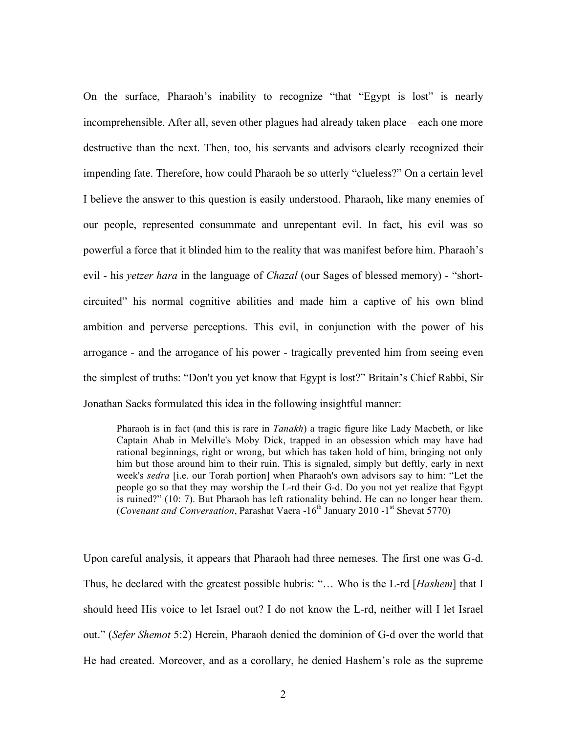On the surface, Pharaoh's inability to recognize "that "Egypt is lost" is nearly incomprehensible. After all, seven other plagues had already taken place – each one more destructive than the next. Then, too, his servants and advisors clearly recognized their impending fate. Therefore, how could Pharaoh be so utterly "clueless?" On a certain level I believe the answer to this question is easily understood. Pharaoh, like many enemies of our people, represented consummate and unrepentant evil. In fact, his evil was so powerful a force that it blinded him to the reality that was manifest before him. Pharaoh's evil - his *yetzer hara* in the language of *Chazal* (our Sages of blessed memory) - "shortcircuited" his normal cognitive abilities and made him a captive of his own blind ambition and perverse perceptions. This evil, in conjunction with the power of his arrogance - and the arrogance of his power - tragically prevented him from seeing even the simplest of truths: "Don't you yet know that Egypt is lost?" Britain's Chief Rabbi, Sir Jonathan Sacks formulated this idea in the following insightful manner:

Pharaoh is in fact (and this is rare in *Tanakh*) a tragic figure like Lady Macbeth, or like Captain Ahab in Melville's Moby Dick, trapped in an obsession which may have had rational beginnings, right or wrong, but which has taken hold of him, bringing not only him but those around him to their ruin. This is signaled, simply but deftly, early in next week's *sedra* [i.e. our Torah portion] when Pharaoh's own advisors say to him: "Let the people go so that they may worship the L-rd their G-d. Do you not yet realize that Egypt is ruined?" (10: 7). But Pharaoh has left rationality behind. He can no longer hear them. (*Covenant and Conversation*, Parashat Vaera  $-16^{th}$  January 2010  $-1^{st}$  Shevat 5770)

Upon careful analysis, it appears that Pharaoh had three nemeses. The first one was G-d. Thus, he declared with the greatest possible hubris: "… Who is the L-rd [*Hashem*] that I should heed His voice to let Israel out? I do not know the L-rd, neither will I let Israel out." (*Sefer Shemot* 5:2) Herein, Pharaoh denied the dominion of G-d over the world that He had created. Moreover, and as a corollary, he denied Hashem's role as the supreme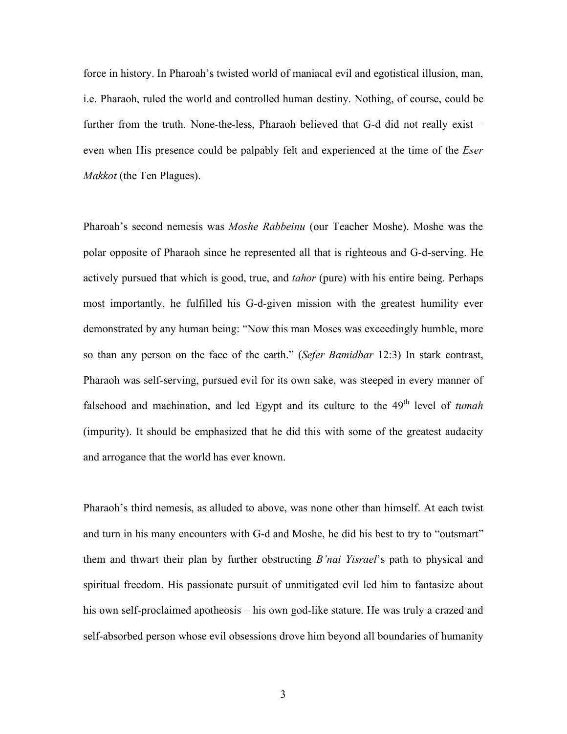force in history. In Pharoah's twisted world of maniacal evil and egotistical illusion, man, i.e. Pharaoh, ruled the world and controlled human destiny. Nothing, of course, could be further from the truth. None-the-less, Pharaoh believed that G-d did not really exist – even when His presence could be palpably felt and experienced at the time of the *Eser Makkot* (the Ten Plagues).

Pharoah's second nemesis was *Moshe Rabbeinu* (our Teacher Moshe). Moshe was the polar opposite of Pharaoh since he represented all that is righteous and G-d-serving. He actively pursued that which is good, true, and *tahor* (pure) with his entire being. Perhaps most importantly, he fulfilled his G-d-given mission with the greatest humility ever demonstrated by any human being: "Now this man Moses was exceedingly humble, more so than any person on the face of the earth." (*Sefer Bamidbar* 12:3) In stark contrast, Pharaoh was self-serving, pursued evil for its own sake, was steeped in every manner of falsehood and machination, and led Egypt and its culture to the 49<sup>th</sup> level of *tumah* (impurity). It should be emphasized that he did this with some of the greatest audacity and arrogance that the world has ever known.

Pharaoh's third nemesis, as alluded to above, was none other than himself. At each twist and turn in his many encounters with G-d and Moshe, he did his best to try to "outsmart" them and thwart their plan by further obstructing *B'nai Yisrael*'s path to physical and spiritual freedom. His passionate pursuit of unmitigated evil led him to fantasize about his own self-proclaimed apotheosis – his own god-like stature. He was truly a crazed and self-absorbed person whose evil obsessions drove him beyond all boundaries of humanity